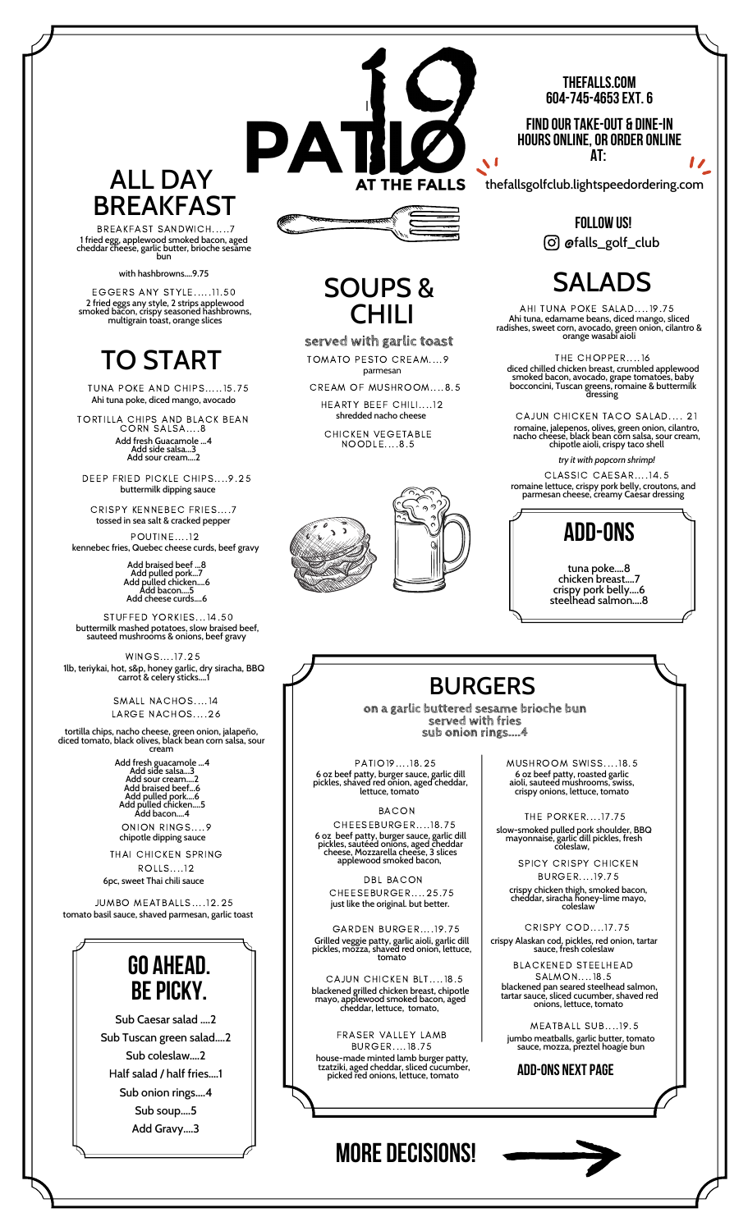#### **THEFALLS.COM 604-745-4653EXT.6**

**FIND OUR TAKE-OUT & DINE-IN HOURSONLINE,OR ORDER ONLINE AT:**

Ū

**FOLLOW US!** @falls\_golf\_club

# SALADS

AHI TUNA POKE SALAD....19.75 Ahi tuna, edamame beans, diced mango, sliced radishes, sweet corn, avocado, green onion, cilantro & orange wasabi aioli

THE CHOPPER....16 diced chilled chicken breast, crumbled applewood smoked bacon, avocado, grape tomatoes, baby bocconcini, Tuscan greens, romaine & buttermilk dressing

CAJUN CHICKEN TACO SALAD.... 21 romaine, jalepenos, olives, green onion, cilantro, nacho cheese, black bean corn salsa, sour cream, chipotle aioli, crispy taco shell

romaine lettuce, crispy pork belly, croutons, and parmesan cheese, creamy Caesar dressing CLASSIC CAESAR....14.5 *try it with popcorn shrimp!*



tuna poke....8 chicken breast....7 crispy pork belly....6 steelhead salmon....8

#### BURGERS

**on a garlic buttered sesame brioche bun served with fries sub onion rings....4**

PATIO19....18.25 6 oz beef patty, burger sauce, garlic dill pickles, shaved red onion, aged cheddar, lettuce, tomato

BACON

CHEESEBURGER....18.75 6 oz beef patty, burger sauce, garlic dill pickles, sautéed onions, aged cheddar cheese, Mozzarella cheese, 3 slices applewood smoked bacon,

just like the original. but better. DBL BACON CHEESEBURGER....25.75

GARDEN BURGER....19.75 Grilled veggie patty, garlic aioli, garlic dill pickles, mozza, shaved red onion, lettuce, tomato

CAJUN CHICKEN BLT....18.5 blackened grilled chicken breast, chipotle mayo, applewood smoked bacon, aged cheddar, lettuce, tomato,

FRASER VALLEY LAMB BURGER....18.75 house-made minted lamb burger patty, tzatziki, aged cheddar, sliced cucumber, picked red onions, lettuce, tomato

#### CHILI **served with garlic toast**

parmesan TOMATO PESTO CREAM....9

SOUPS &

I\

PA

CREAM OF MUSHROOM....8.5 HEARTY BEEF CHILI....12 shredded nacho cheese

CHICKEN VEGETABLE NOODLE....8.5



ALL DAY THE FALLS thefallsgolfclub.lightspeedordering.com BREAKFAST

BREAKFAST SANDWICH.....7 1 fried egg, applewood smoked bacon, aged cheddar cheese, garlic butter, brioche sesame bun

with hashbrowns....9.75

EGGERS ANY STYLE.....11.50 2 fried eggs any style, 2 strips applewood smoked bacon, crispy seasoned hashbrowns, multigrain toast, orange slices

# TO START

Ahi tuna poke, diced mango, avocado TUNA POKE AND CHIPS.....15.75

Add fresh Guacamole ...4 TORTILLA CHIPS AND BLACK BEAN CORN SALSA....8

Add side salsa...3 Add sour cream....2

buttermilk dipping sauce DEEP FRIED PICKLE CHIPS....9.25

CRISPY KENNEBEC FRIES....7 tossed in sea salt & cracked pepper

POUTINE....12 kennebec fries, Quebec cheese curds, beef gravy

Add braised beef ...8 Add pulled pork...7 Add pulled chicken....6 Add bacon....5 Add cheese curds....6

STUFFED YORKIES...14.50 buttermilk mashed potatoes, slow braised beef, sauteed mushrooms & onions, beef gravy

1lb, teriykai, hot, s&p, honey garlic, dry siracha, BBQ carrot & celery sticks....1 WINGS....17.25

> SMALL NACHOS....14 LARGE NACHOS....26

tortilla chips, nacho cheese, green onion, jalapeño, diced tomato, black olives, black bean corn salsa, sour cream

> Add side salsa...3<br>Add sour cream....2<br>Add braised beef...6<br>Add pulled pork....6<br>Add pulled chicken....5<br>Add bacon....4 ONION RINGS....9

chipotle dipping sauce THAI CHICKEN SPRING ROLLS....12

6pc, sweet Thai chili sauce

JUMBO MEATBALLS....12.25 tomato basil sauce, shaved parmesan, garlic toast

## **GO AHEAD. BE PICKY.**

Sub Caesar salad ....2 Sub Tuscan green salad....2 Sub coleslaw....2 Half salad / half fries....1 Sub onion rings....4 Sub soup....5 Add Gravy....3

THE PORKER....17.75 6 oz beef patty, roasted garlic aioli, sauteed mushrooms, swiss, crispy onions, lettuce, tomato

MUSHROOM SWISS....18.5

slow-smoked pulled pork shoulder, BBQ mayonnaise, garlic dill pickles, fresh coleslaw,

SPICY CRISPY CHICKEN BURGER....19.75

crispy chicken thigh, smoked bacon, cheddar, siracha honey-lime mayo, coleslaw

CRISPY COD....17.75 crispy Alaskan cod, pickles, red onion, tartar sauce, fresh coleslaw

> BLACKENED STEELHEAD SALMON....18.5

blackened pan seared steelhead salmon, tartar sauce, sliced cucumber, shaved red onions, lettuce, tomato

MEATBALL SUB....19.5 jumbo meatballs, garlic butter, tomato sauce, mozza, preztel hoagie bun

**ADD-ONS NEXTPAGE**



## **MORE DECISIONS!**